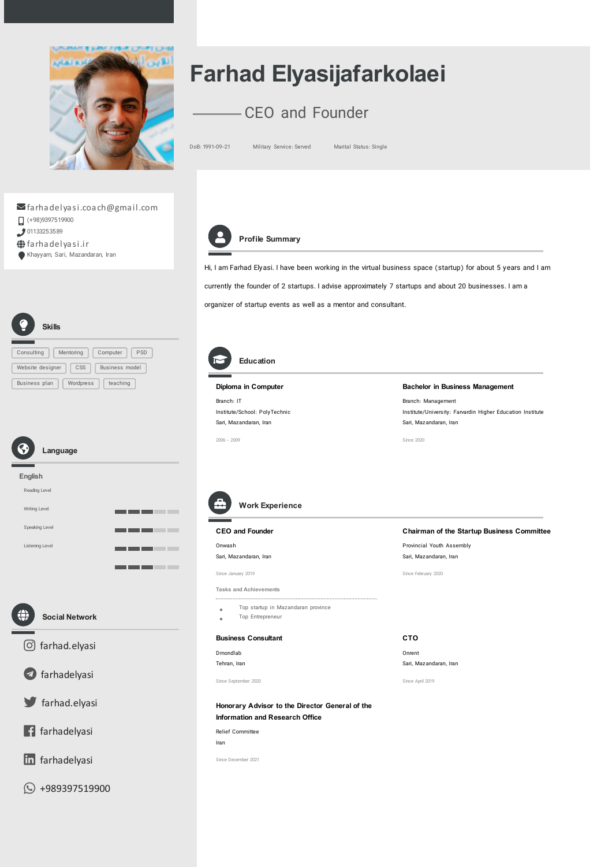

# Farhad Elyasijafarkolaei

## CEO and Founder

DoB: 1991-09-21 Military Service: Served Marital Status: Single

### farhadelyasi.coach@gmail.com

- $\Box$  (+98)9397519900
- 01133253589
- farhadelyasi.ir
- Khayyam, Sari, Mazandaran, Iran



### Profile Summary

Education

Hi, I am Farhad Elyasi. I have been working in the virtual business space (startup) for about 5 years and I am currently the founder of 2 startups. I advise approximately 7 startups and about 20 businesses. I am a organizer of startup events as well as a mentor and consultant.

| <b>Skills</b>                          |                |            |
|----------------------------------------|----------------|------------|
| Consulting<br>Mentoring                | Computer       | <b>PSD</b> |
| $\mathsf{CSS}$<br>Website designer     | Business model |            |
| Wordpress<br>teaching<br>Business plan |                |            |





Social Network

<u>n sa matan</u>



**a** [farhadelyasi](https://t.me/farhadelyasi)

[farhad.elyasi](https://twitter.com/farhad.elyasi)

 $\sqrt{f}$  [farhadelyasi](https://facebook.com/farhadelyasi)

**in** [farhadelyasi](https://linkedin.com/in/farhadelyasi)

 $\odot$  [+989397519900](https://wa.me/+989397519900)

Diploma in Computer Bachelor in Business Management Branch: IT Branch: Management Institute/School: PolyTechnic Institute/University: Farvardin Higher Education Institute Sari, Mazandaran, Iran Sari, Mazandaran, Iran 2006 - 2009 Since 2020 Work Experience CEO and Founder Chairman of the Startup Business Committee Provincial Youth Assembly Onwash Sari, Mazandaran, Iran Sari, Mazandaran, Iran Since February 2020 Since January 2019 Tasks and Achievements Top startup in Mazandaran province ř. Top Entrepreneur $\bar{a}$ Business Consultant CTO Dmondlab Onrent Tehran, Iran Sari, Mazandaran, Iran Since September 2020 Since April 2019 Honorary Advisor to the Director General of the Information and Research Office Relief Committee Iran Since December 2021